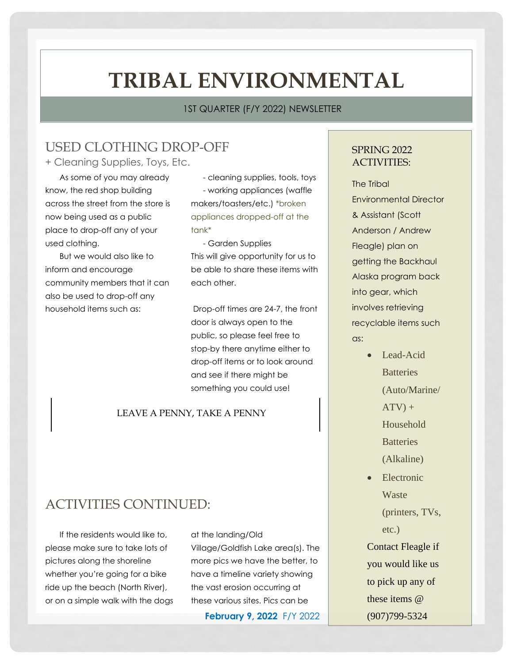# **TRIBAL ENVIRONMENTAL**

#### 1ST QUARTER (F/Y 2022) NEWSLETTER

## USED CLOTHING DROP-OFF

+ Cleaning Supplies, Toys, Etc.

As some of you may already know, the red shop building across the street from the store is now being used as a public place to drop-off any of your used clothing.

But we would also like to inform and encourage community members that it can also be used to drop-off any household items such as:

- cleaning supplies, tools, toys - working appliances (waffle makers/toasters/etc.) \*broken appliances dropped-off at the tank\*

- Garden Supplies This will give opportunity for us to be able to share these items with each other.

Drop-off times are 24-7, the front door is always open to the public, so please feel free to stop-by there anytime either to drop-off items or to look around and see if there might be something you could use!

#### LEAVE A PENNY, TAKE A PENNY

## ACTIVITIES CONTINUED:

If the residents would like to, please make sure to take lots of pictures along the shoreline whether you're going for a bike ride up the beach (North River), or on a simple walk with the dogs at the landing/Old

Village/Goldfish Lake area(s). The more pics we have the better, to have a timeline variety showing the vast erosion occurring at these various sites. Pics can be

**February 9, 2022** F/Y 2022

### SPRING 2022 ACTIVITIES:

The Tribal Environmental Director & Assistant (Scott Anderson / Andrew Fleagle) plan on getting the Backhaul Alaska program back into gear, which involves retrieving recyclable items such as:

- Lead-Acid **Batteries** (Auto/Marine/  $ATV$ ) + Household **Batteries** (Alkaline) • Electronic
- Waste

(printers, TVs, etc.)

Contact Fleagle if you would like us to pick up any of these items @ (907)799-5324